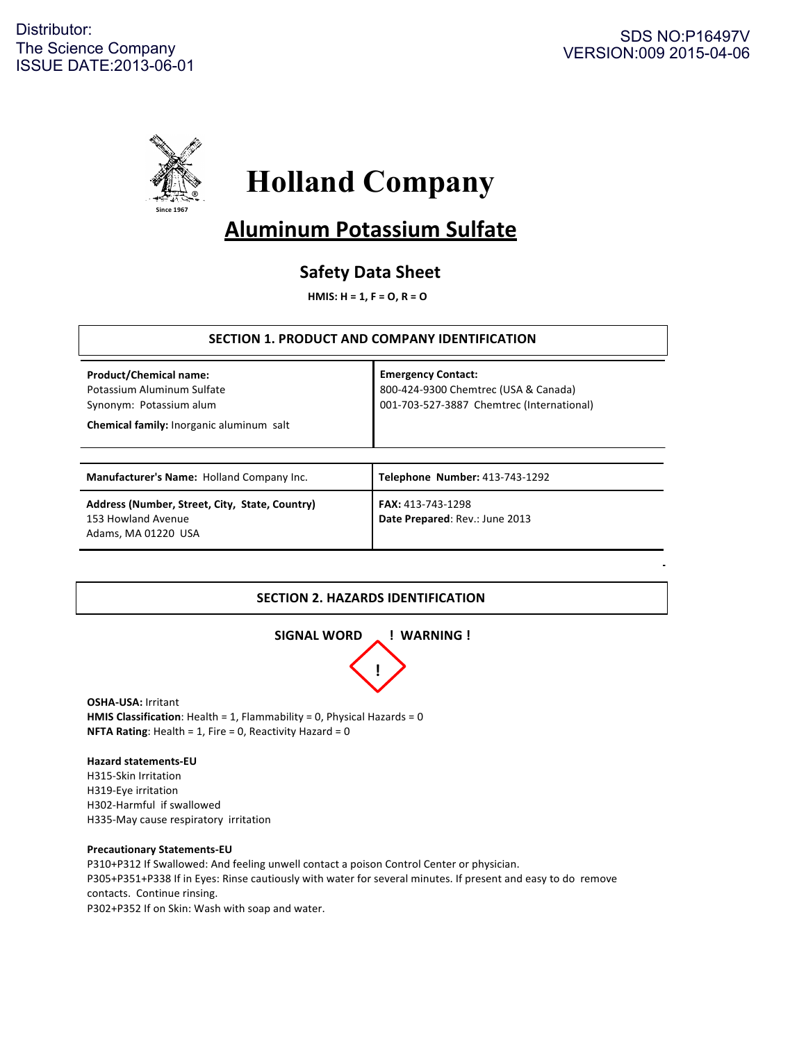

# **Holland Company**

## **Aluminum Potassium Sulfate**

## **Safety Data Sheet**

**HMIS: H = 1, F = 0, R = 0** 

## **SECTION 1. PRODUCT AND COMPANY IDENTIFICATION**

| <b>Product/Chemical name:</b><br>Potassium Aluminum Sulfate<br>Synonym: Potassium alum<br><b>Chemical family:</b> Inorganic aluminum salt | <b>Emergency Contact:</b><br>800-424-9300 Chemtrec (USA & Canada)<br>001-703-527-3887 Chemtrec (International) |
|-------------------------------------------------------------------------------------------------------------------------------------------|----------------------------------------------------------------------------------------------------------------|
| Manufacturer's Name: Holland Company Inc.                                                                                                 | Telephone Number: 413-743-1292                                                                                 |
| Address (Number, Street, City, State, Country)<br>153 Howland Avenue<br>Adams, MA 01220 USA                                               | <b>FAX:</b> 413-743-1298<br>Date Prepared: Rev.: June 2013                                                     |

## **SECTION 2. HAZARDS IDENTIFICATION**



**OSHA-USA: Irritant HMIS Classification**: Health = 1, Flammability = 0, Physical Hazards = 0 **NFTA Rating:** Health =  $1$ , Fire =  $0$ , Reactivity Hazard =  $0$ 

#### **Hazard statements-EU**

H315-Skin Irritation H319-Eye irritation H302-Harmful if swallowed H335-May cause respiratory irritation

#### **Precautionary Statements-EU**

P310+P312 If Swallowed: And feeling unwell contact a poison Control Center or physician. P305+P351+P338 If in Eyes: Rinse cautiously with water for several minutes. If present and easy to do remove contacts. Continue rinsing. P302+P352 If on Skin: Wash with soap and water.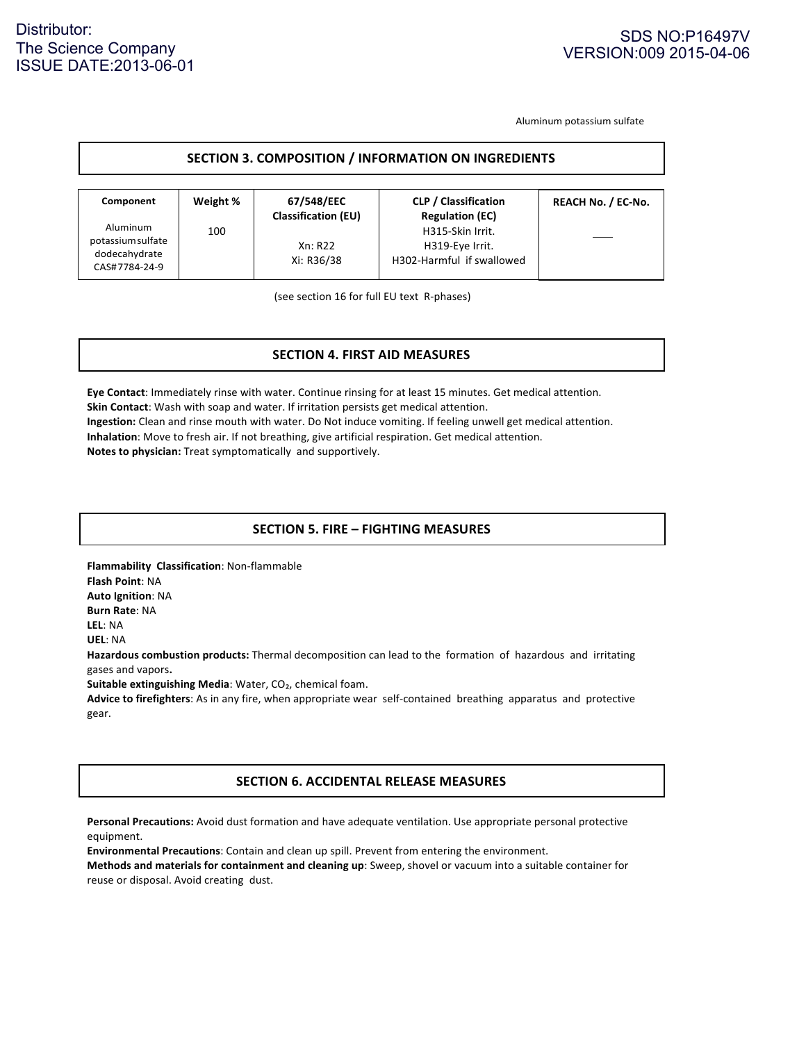## Distributor: The Science Company ISSUE DATE:2013-06-01

Aluminum potassium sulfate

#### **SECTION 3. COMPOSITION / INFORMATION ON INGREDIENTS**

| Component                                                       | Weight % | 67/548/EEC<br><b>Classification (EU)</b> | <b>CLP / Classification</b><br><b>Regulation (EC)</b>            | <b>REACH No. / EC-No.</b> |
|-----------------------------------------------------------------|----------|------------------------------------------|------------------------------------------------------------------|---------------------------|
| Aluminum<br>potassium sulfate<br>dodecahydrate<br>CAS#7784-24-9 | 100      | Xn: R22<br>Xi: R36/38                    | H315-Skin Irrit.<br>H319-Eye Irrit.<br>H302-Harmful if swallowed |                           |

(see section 16 for full EU text R-phases)

## **SECTION 4. FIRST AID MEASURES SECTION 4. FIRST AID MEASURES**

**Eye Contact:** Immediately rinse with water. Continue rinsing for at least 15 minutes. Get medical attention. **Skin Contact:** Wash with soap and water. If irritation persists get medical attention. **Ingestion:** Clean and rinse mouth with water. Do Not induce vomiting. If feeling unwell get medical attention. **Inhalation**: Move to fresh air. If not breathing, give artificial respiration. Get medical attention. **Notes to physician:** Treat symptomatically and supportively.

## **SECTION 5. FIRE – FIGHTING MEASURES**

**Flammability Classification:** Non-flammable **Flash Point: NA Auto Ignition: NA Burn Rate: NA LEL**: NA **UEL:** NA Hazardous combustion products: Thermal decomposition can lead to the formation of hazardous and irritating gases and vapors**. Suitable extinguishing Media:** Water, CO<sub>2</sub>, chemical foam. Advice to firefighters: As in any fire, when appropriate wear self-contained breathing apparatus and protective gear.

## **SECTION 6. ACCIDENTAL RELEASE MEASURES**

Personal Precautions: Avoid dust formation and have adequate ventilation. Use appropriate personal protective equipment.

**Environmental Precautions:** Contain and clean up spill. Prevent from entering the environment.

**Methods and materials for containment and cleaning up**: Sweep, shovel or vacuum into a suitable container for reuse or disposal. Avoid creating dust.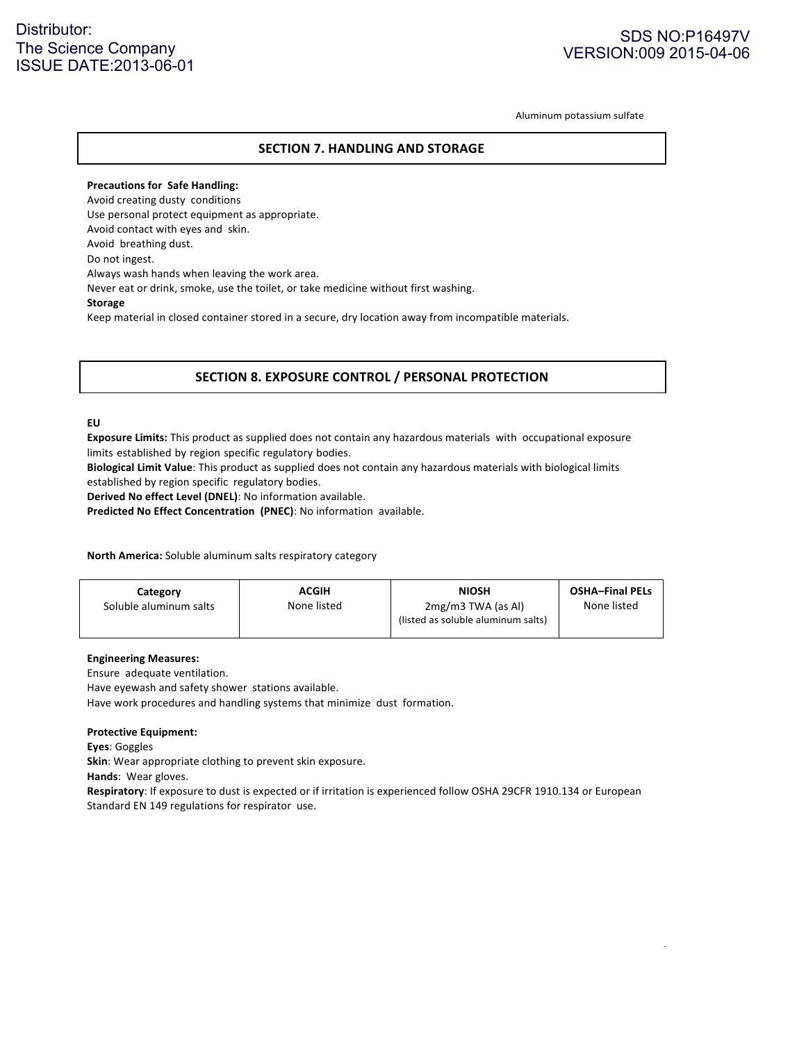## Distributor: The Science Company ISSUE DATE:2013-06-01

## SDS NO:P16497V VERSION:009 2015-04-06

Aluminum potassium sulfate

#### **SECTION 7. HANDLING AND STORAGE**

**Precautions for Safe Handling:** Avoid creating dusty conditions Use personal protect equipment as appropriate. Avoid contact with eyes and skin. Avoid breathing dust. Do not ingest. Always wash hands when leaving the work area. Never eat or drink, smoke, use the toilet, or take medicine without first washing. **Storage** Keep material in closed container stored in a secure, dry location away from incompatible materials.

## **SECTION 8. EXPOSURE CONTROL / PERSONAL PROTECTION**

#### **EU**

**Exposure Limits:** This product as supplied does not contain any hazardous materials with occupational exposure limits established by region specific regulatory bodies.

**Biological Limit Value**: This product as supplied does not contain any hazardous materials with biological limits established by region specific regulatory bodies.

**Derived No effect Level (DNEL)**: No information available.

**Predicted No Effect Concentration (PNEC):** No information available.

**North America:** Soluble aluminum salts respiratory category

|--|

#### **Engineering Measures:**

Ensure adequate ventilation.

Have eyewash and safety shower stations available.

Have work procedures and handling systems that minimize dust formation.

#### **Protective Equipment:**

**Eyes**: Goggles

**Skin**: Wear appropriate clothing to prevent skin exposure.

Hands: Wear gloves.

Respiratory: If exposure to dust is expected or if irritation is experienced follow OSHA 29CFR 1910.134 or European Standard EN 149 regulations for respirator use.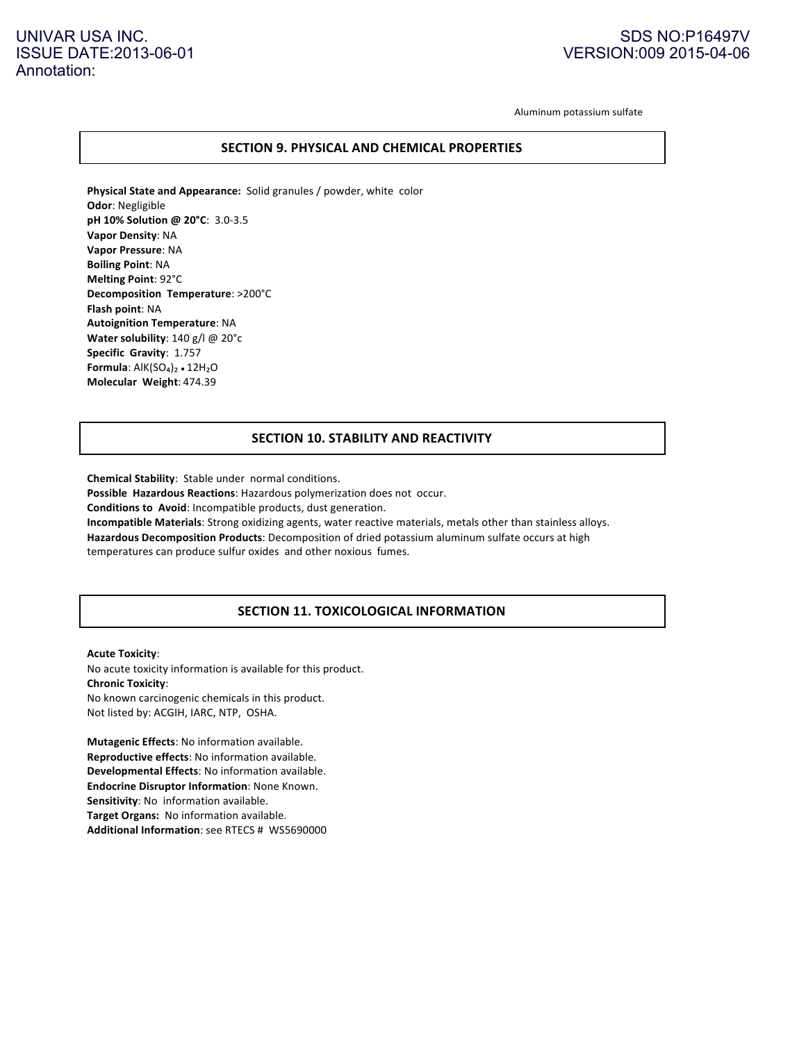## UNIVAR USA INC. ISSUE DATE:2013-06-01 Annotation:

## SDS NO:P16497V VERSION:009 2015-04-06

Aluminum potassium sulfate

#### **SECTION 9. PHYSICAL AND CHEMICAL PROPERTIES**

**Physical State and Appearance:** Solid granules / powder, white color **Odor:** Negligible **pH 10% Solution @ 20°C: 3.0-3.5 Vapor Density: NA Vapor Pressure**: NA **Boiling Point: NA Melting Point: 92°C Decomposition Temperature:** >200°C **Flash point:** NA **Autoignition Temperature**: NA **Water solubility**: 140 g/l @ 20°c **Specific Gravity: 1.757 Formula**: AlK(SO<sub>4</sub>)<sub>2</sub> • 12H<sub>2</sub>O **Molecular Weight**: 474.39

## **SECTION 10. STABILITY AND REACTIVITY**

**Chemical Stability**: Stable under normal conditions. Possible Hazardous Reactions: Hazardous polymerization does not occur. **Conditions to Avoid:** Incompatible products, dust generation. **Incompatible Materials**: Strong oxidizing agents, water reactive materials, metals other than stainless alloys. Hazardous Decomposition Products: Decomposition of dried potassium aluminum sulfate occurs at high temperatures can produce sulfur oxides and other noxious fumes.

## **SECTION 11. TOXICOLOGICAL INFORMATION**

**Acute Toxicity:** No acute toxicity information is available for this product. **Chronic Toxicity**: No known carcinogenic chemicals in this product. Not listed by: ACGIH, IARC, NTP, OSHA.

**Mutagenic Effects:** No information available. **Reproductive effects:** No information available. **Developmental Effects:** No information available. **Endocrine Disruptor Information**: None Known. **Sensitivity**: No information available. **Target Organs:** No information available. **Additional Information:** see RTECS # WS5690000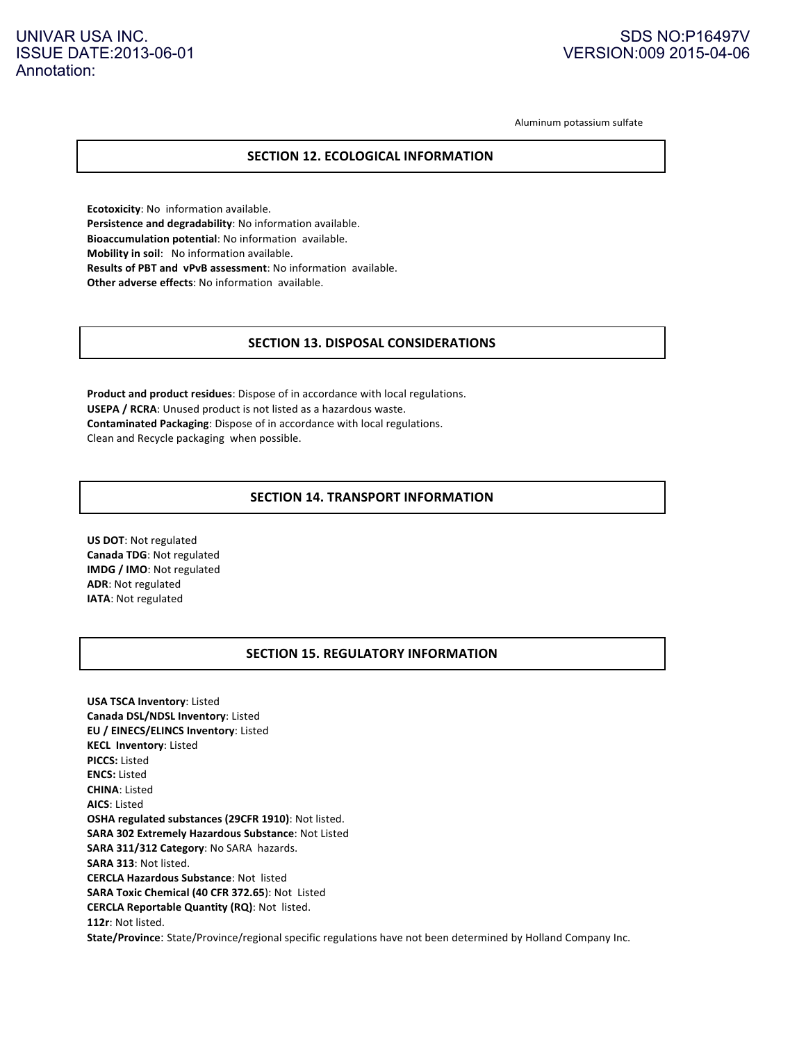## UNIVAR USA INC. ISSUE DATE:2013-06-01 Annotation:

## SDS NO:P16497V VERSION:009 2015-04-06

Aluminum potassium sulfate

## **SECTION 12. ECOLOGICAL INFORMATION**

**Ecotoxicity**: No information available. Persistence and degradability: No information available. **Bioaccumulation potential**: No information available. **Mobility in soil:** No information available. **Results of PBT and vPvB assessment**: No information available. **Other adverse effects:** No information available.

#### **SECTION 13. DISPOSAL CONSIDERATIONS**

**Product and product residues**: Dispose of in accordance with local regulations. **USEPA / RCRA**: Unused product is not listed as a hazardous waste. **Contaminated Packaging:** Dispose of in accordance with local regulations. Clean and Recycle packaging when possible.

## **SECTION 14. TRANSPORT INFORMATION**

**US DOT: Not regulated Canada TDG**: Not regulated **IMDG** / **IMO**: Not regulated **ADR**: Not regulated **IATA:** Not regulated

## **SECTION 15. REGULATORY INFORMATION**

**USA TSCA Inventory:** Listed **Canada DSL/NDSL Inventory**: Listed **EU** / EINECS/ELINCS Inventory: Listed **KECL Inventory:** Listed **PICCS:** Listed **ENCS:** Listed **CHINA**: Listed **AICS**: Listed **OSHA regulated substances (29CFR 1910)**: Not listed. **SARA 302 Extremely Hazardous Substance: Not Listed** SARA 311/312 Category: No SARA hazards. SARA 313: Not listed. **CERCLA Hazardous Substance**: Not listed **SARA Toxic Chemical (40 CFR 372.65): Not Listed CERCLA Reportable Quantity (RQ)**: Not listed. 112r: Not listed. **State/Province**: State/Province/regional specific regulations have not been determined by Holland Company Inc.